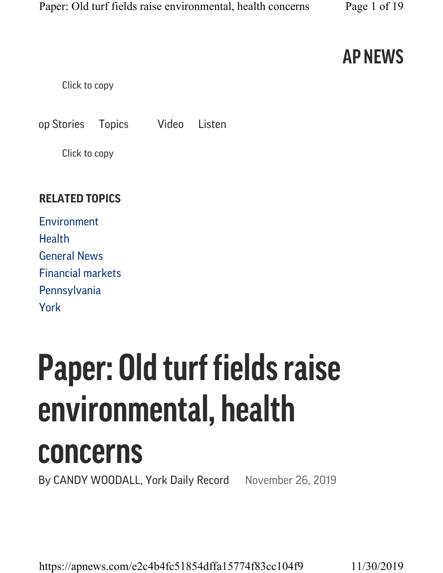Click to copy

op Stories Topics Video Listen

Click to copy

#### RELATED TOPICS

| Environment              |
|--------------------------|
| <b>Health</b>            |
| <b>General News</b>      |
| <b>Financial markets</b> |
| Pennsylvania             |
| York                     |

# Paper: Old turf fields raise environmental, health concerns

By CANDY WOODALL, York Daily Record November 26, 2019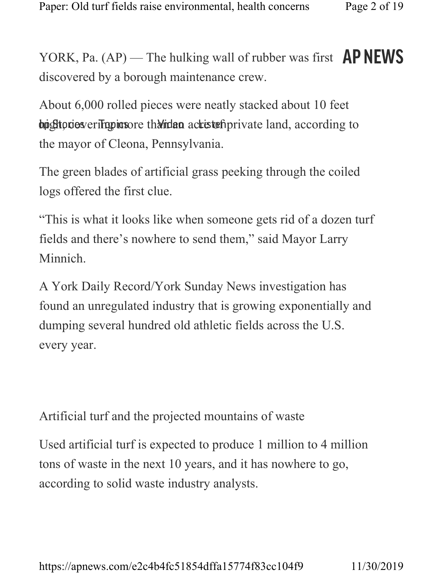YORK, Pa. (AP) — The hulking wall of rubber was first **AP NEWS** discovered by a borough maintenance crew.

About 6,000 rolled pieces were neatly stacked about 10 feet buight pries eriling in sore the induced ackies to find the land, according to the mayor of Cleona, Pennsylvania.

The green blades of artificial grass peeking through the coiled logs offered the first clue.

"This is what it looks like when someone gets rid of a dozen turf fields and there's nowhere to send them," said Mayor Larry Minnich.

A York Daily Record/York Sunday News investigation has found an unregulated industry that is growing exponentially and dumping several hundred old athletic fields across the U.S. every year.

Artificial turf and the projected mountains of waste

Used artificial turf is expected to produce 1 million to 4 million tons of waste in the next 10 years, and it has nowhere to go, according to solid waste industry analysts.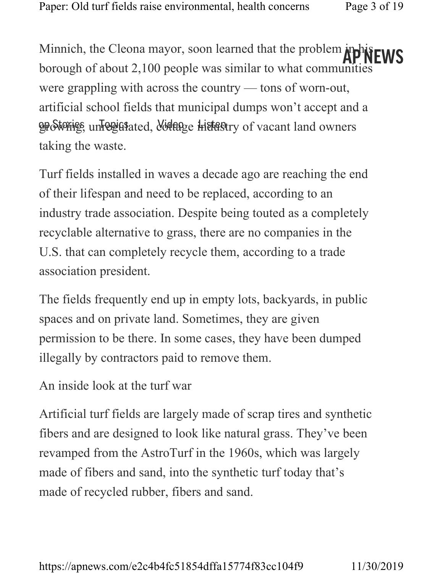Minnich, the Cleona mayor, soon learned that the problem in borough of about 2,100 people was similar to what communities were grappling with across the country — tons of worn-out, artificial school fields that municipal dumps won't accept and a growings, unlegiasted, Voltage Hitlestry of vacant land owners taking the waste. <sup>P</sup>NEWS

Turf fields installed in waves a decade ago are reaching the end of their lifespan and need to be replaced, according to an industry trade association. Despite being touted as a completely recyclable alternative to grass, there are no companies in the U.S. that can completely recycle them, according to a trade association president.

The fields frequently end up in empty lots, backyards, in public spaces and on private land. Sometimes, they are given permission to be there. In some cases, they have been dumped illegally by contractors paid to remove them.

An inside look at the turf war

Artificial turf fields are largely made of scrap tires and synthetic fibers and are designed to look like natural grass. They've been revamped from the AstroTurf in the 1960s, which was largely made of fibers and sand, into the synthetic turf today that's made of recycled rubber, fibers and sand.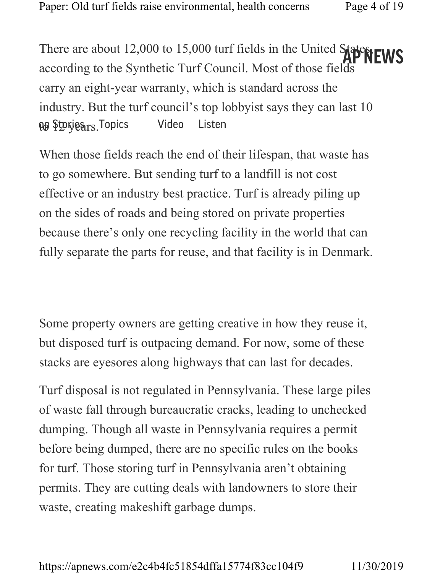There are about 12,000 to 15,000 turf fields in the United States. according to the Synthetic Turf Council. Most of those fields carry an eight-year warranty, which is standard across the industry. But the turf council's top lobbyist says they can last 10 **QQ Stories**ts Topics Video Listen

When those fields reach the end of their lifespan, that waste has to go somewhere. But sending turf to a landfill is not cost effective or an industry best practice. Turf is already piling up on the sides of roads and being stored on private properties because there's only one recycling facility in the world that can fully separate the parts for reuse, and that facility is in Denmark.

Some property owners are getting creative in how they reuse it, but disposed turf is outpacing demand. For now, some of these stacks are eyesores along highways that can last for decades.

Turf disposal is not regulated in Pennsylvania. These large piles of waste fall through bureaucratic cracks, leading to unchecked dumping. Though all waste in Pennsylvania requires a permit before being dumped, there are no specific rules on the books for turf. Those storing turf in Pennsylvania aren't obtaining permits. They are cutting deals with landowners to store their waste, creating makeshift garbage dumps.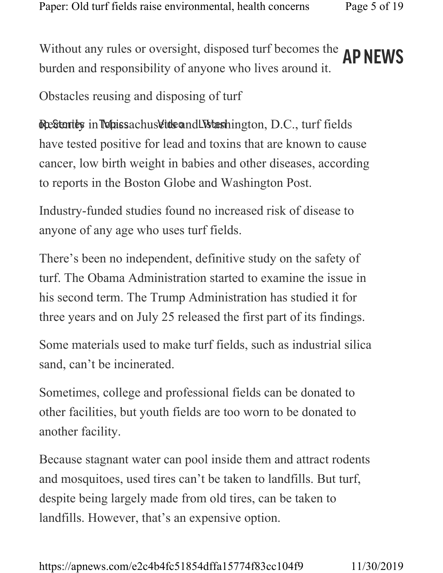Without any rules or oversight, disposed turf becomes the **AP NEWS** burden and responsibility of anyone who lives around it.

Obstacles reusing and disposing of turf

Restartes in Topissachus Videond Listeshington, D.C., turf fields have tested positive for lead and toxins that are known to cause cancer, low birth weight in babies and other diseases, according to reports in the Boston Globe and Washington Post.

Industry-funded studies found no increased risk of disease to anyone of any age who uses turf fields.

There's been no independent, definitive study on the safety of turf. The Obama Administration started to examine the issue in his second term. The Trump Administration has studied it for three years and on July 25 released the first part of its findings.

Some materials used to make turf fields, such as industrial silica sand, can't be incinerated.

Sometimes, college and professional fields can be donated to other facilities, but youth fields are too worn to be donated to another facility.

Because stagnant water can pool inside them and attract rodents and mosquitoes, used tires can't be taken to landfills. But turf, despite being largely made from old tires, can be taken to landfills. However, that's an expensive option.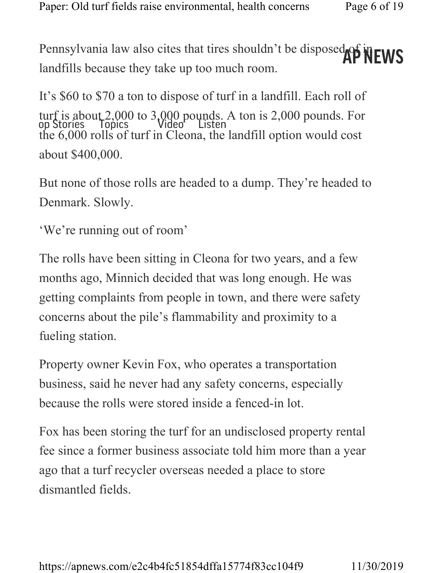Pennsylvania law also cites that tires shouldn't be disposed of in EWS landfills because they take up too much room.

It's \$60 to \$70 a ton to dispose of turf in a landfill. Each roll of turf is about  $2,000$  to  $3,000$  pounds. A ton is 2,000 pounds. For the 6,000 rolls of turf in Cleona, the landfill option would cost about \$400,000. turf is about 2,000 to 3,000 pounds.<br>op Stories – Topics – Video – Listen

But none of those rolls are headed to a dump. They're headed to Denmark. Slowly.

'We're running out of room'

The rolls have been sitting in Cleona for two years, and a few months ago, Minnich decided that was long enough. He was getting complaints from people in town, and there were safety concerns about the pile's flammability and proximity to a fueling station.

Property owner Kevin Fox, who operates a transportation business, said he never had any safety concerns, especially because the rolls were stored inside a fenced-in lot.

Fox has been storing the turf for an undisclosed property rental fee since a former business associate told him more than a year ago that a turf recycler overseas needed a place to store dismantled fields.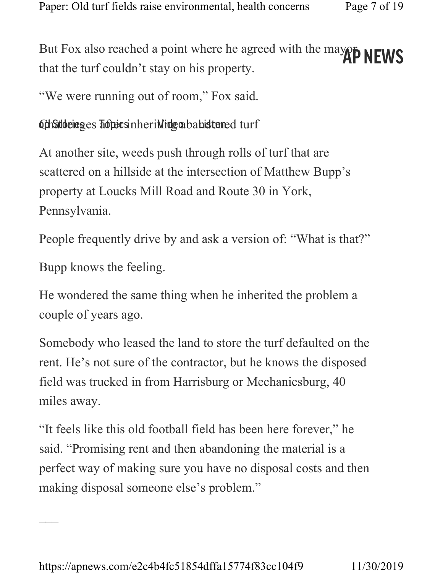But Fox also reached a point where he agreed with the may of NEWS that the turf couldn't stay on his property.

"We were running out of room," Fox said.

### Och Studeineges Toutrick inheriting aband ture turf

At another site, weeds push through rolls of turf that are scattered on a hillside at the intersection of Matthew Bupp's property at Loucks Mill Road and Route 30 in York, Pennsylvania.

People frequently drive by and ask a version of: "What is that?"

Bupp knows the feeling.

 $\overline{\phantom{a}}$ 

He wondered the same thing when he inherited the problem a couple of years ago.

Somebody who leased the land to store the turf defaulted on the rent. He's not sure of the contractor, but he knows the disposed field was trucked in from Harrisburg or Mechanicsburg, 40 miles away.

"It feels like this old football field has been here forever," he said. "Promising rent and then abandoning the material is a perfect way of making sure you have no disposal costs and then making disposal someone else's problem."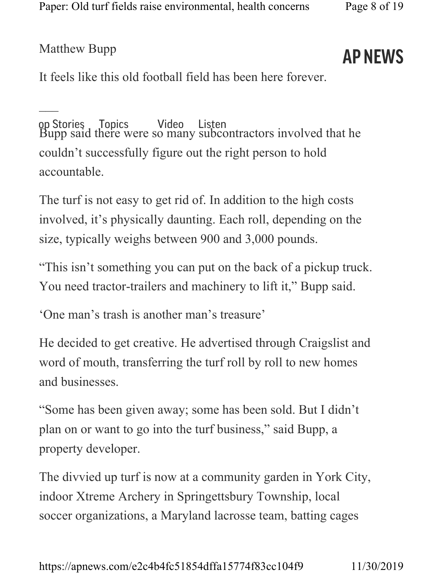Matthew Bupp

 $\overline{\phantom{a}}$ 

AP NEWS

It feels like this old football field has been here forever.

Bupp said there were so many subcontractors involved that he couldn't successfully figure out the right person to hold accountable. op Stories Topics Video Listen

The turf is not easy to get rid of. In addition to the high costs involved, it's physically daunting. Each roll, depending on the size, typically weighs between 900 and 3,000 pounds.

"This isn't something you can put on the back of a pickup truck. You need tractor-trailers and machinery to lift it," Bupp said.

'One man's trash is another man's treasure'

He decided to get creative. He advertised through Craigslist and word of mouth, transferring the turf roll by roll to new homes and businesses.

"Some has been given away; some has been sold. But I didn't plan on or want to go into the turf business," said Bupp, a property developer.

The divvied up turf is now at a community garden in York City, indoor Xtreme Archery in Springettsbury Township, local soccer organizations, a Maryland lacrosse team, batting cages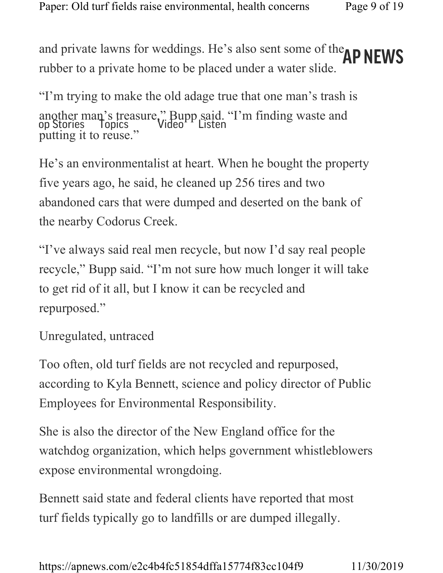and private lawns for weddings. He's also sent some of the **AP NEWS** rubber to a private home to be placed under a water slide.

"I'm trying to make the old adage true that one man's trash is another man's treasure," Bupp said. "I'm finding waste and putting it to reuse." anquict mail s'incasure, pupp said.<br>op Stories Topics Video Listen

He's an environmentalist at heart. When he bought the property five years ago, he said, he cleaned up 256 tires and two abandoned cars that were dumped and deserted on the bank of the nearby Codorus Creek.

"I've always said real men recycle, but now I'd say real people recycle," Bupp said. "I'm not sure how much longer it will take to get rid of it all, but I know it can be recycled and repurposed."

Unregulated, untraced

Too often, old turf fields are not recycled and repurposed, according to Kyla Bennett, science and policy director of Public Employees for Environmental Responsibility.

She is also the director of the New England office for the watchdog organization, which helps government whistleblowers expose environmental wrongdoing.

Bennett said state and federal clients have reported that most turf fields typically go to landfills or are dumped illegally.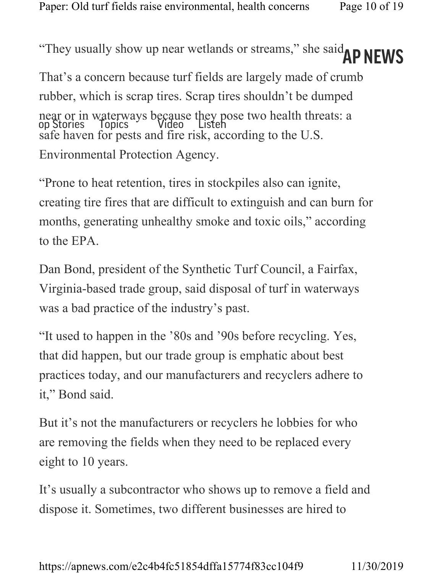"They usually show up near wetlands or streams," she said **AP NEWS** That's a concern because turf fields are largely made of crumb rubber, which is scrap tires. Scrap tires shouldn't be dumped near or in waterways because they pose two health threats: a safe haven for pests and fire risk, according to the U.S. Environmental Protection Agency. The Stories Topics Video Listen

"Prone to heat retention, tires in stockpiles also can ignite, creating tire fires that are difficult to extinguish and can burn for months, generating unhealthy smoke and toxic oils," according to the EPA.

Dan Bond, president of the Synthetic Turf Council, a Fairfax, Virginia-based trade group, said disposal of turf in waterways was a bad practice of the industry's past.

"It used to happen in the '80s and '90s before recycling. Yes, that did happen, but our trade group is emphatic about best practices today, and our manufacturers and recyclers adhere to it," Bond said.

But it's not the manufacturers or recyclers he lobbies for who are removing the fields when they need to be replaced every eight to 10 years.

It's usually a subcontractor who shows up to remove a field and dispose it. Sometimes, two different businesses are hired to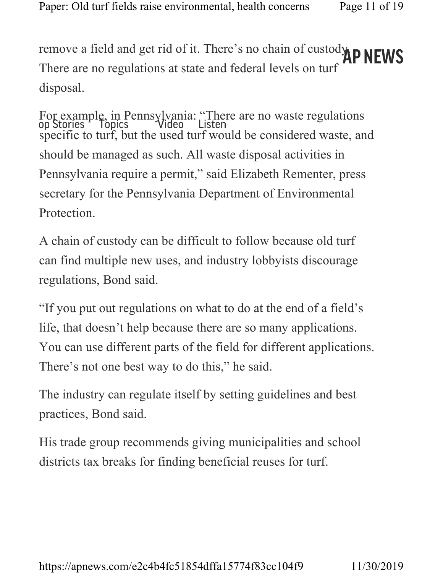remove a field and get rid of it. There's no chain of custody **AP NEWS** There are no regulations at state and federal levels on turf disposal.

For example, in Pennsylvania: "There are no waste regulations specific to turf, but the used turf would be considered waste, and should be managed as such. All waste disposal activities in Pennsylvania require a permit," said Elizabeth Rementer, press secretary for the Pennsylvania Department of Environmental Protection. Top example, in I chirsylvania. The<br>op Stories Topics Video Listen

A chain of custody can be difficult to follow because old turf can find multiple new uses, and industry lobbyists discourage regulations, Bond said.

"If you put out regulations on what to do at the end of a field's life, that doesn't help because there are so many applications. You can use different parts of the field for different applications. There's not one best way to do this," he said.

The industry can regulate itself by setting guidelines and best practices, Bond said.

His trade group recommends giving municipalities and school districts tax breaks for finding beneficial reuses for turf.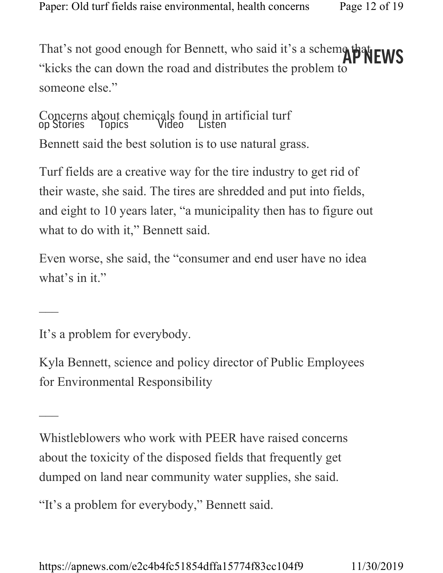That's not good enough for Bennett, who said it's a scheme that EWS "kicks the can down the road and distributes the problem to someone else."

Concerns about chemicals found in artificial turf Bennett said the best solution is to use natural grass. Concerns about chemicals found in a

Turf fields are a creative way for the tire industry to get rid of their waste, she said. The tires are shredded and put into fields, and eight to 10 years later, "a municipality then has to figure out what to do with it," Bennett said.

Even worse, she said, the "consumer and end user have no idea what's in it."

It's a problem for everybody.

 $\overline{\phantom{a}}$ 

 $\overline{\phantom{a}}$ 

Kyla Bennett, science and policy director of Public Employees for Environmental Responsibility

Whistleblowers who work with PEER have raised concerns about the toxicity of the disposed fields that frequently get dumped on land near community water supplies, she said.

"It's a problem for everybody," Bennett said.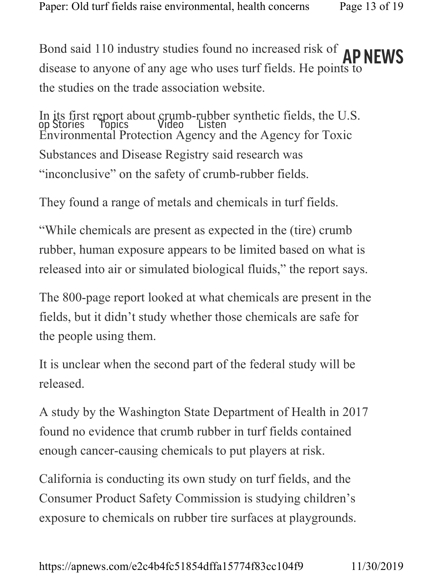Bond said 110 industry studies found no increased risk of **AP NEWS** disease to anyone of any age who uses turf fields. He points to the studies on the trade association website.

In its first report about crumb-rubber synthetic fields, the U.S. Environmental Protection Agency and the Agency for Toxic Substances and Disease Registry said research was "inconclusive" on the safety of crumb-rubber fields. III Its Trist report about Grund-Tubbe<br>op Stories – Topics – Video – Listen

They found a range of metals and chemicals in turf fields.

"While chemicals are present as expected in the (tire) crumb rubber, human exposure appears to be limited based on what is released into air or simulated biological fluids," the report says.

The 800-page report looked at what chemicals are present in the fields, but it didn't study whether those chemicals are safe for the people using them.

It is unclear when the second part of the federal study will be released.

A study by the Washington State Department of Health in 2017 found no evidence that crumb rubber in turf fields contained enough cancer-causing chemicals to put players at risk.

California is conducting its own study on turf fields, and the Consumer Product Safety Commission is studying children's exposure to chemicals on rubber tire surfaces at playgrounds.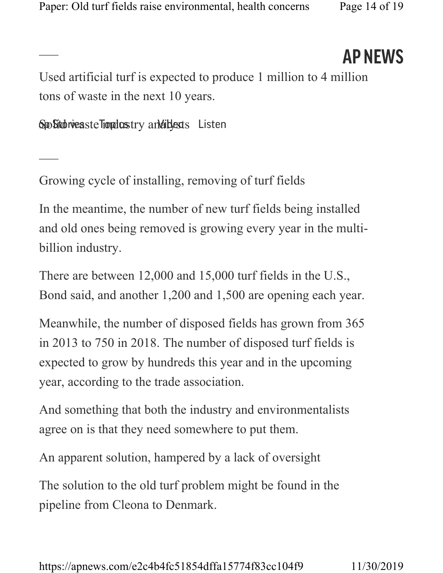Used artificial turf is expected to produce 1 million to 4 million tons of waste in the next 10 years.

Spo Sitch weaste Tropoloustry an Adiblests Listen

 $\overline{\phantom{a}}$ 

 $\overline{\phantom{a}}$ 

Growing cycle of installing, removing of turf fields

In the meantime, the number of new turf fields being installed and old ones being removed is growing every year in the multibillion industry.

There are between 12,000 and 15,000 turf fields in the U.S., Bond said, and another 1,200 and 1,500 are opening each year.

Meanwhile, the number of disposed fields has grown from 365 in 2013 to 750 in 2018. The number of disposed turf fields is expected to grow by hundreds this year and in the upcoming year, according to the trade association.

And something that both the industry and environmentalists agree on is that they need somewhere to put them.

An apparent solution, hampered by a lack of oversight

The solution to the old turf problem might be found in the pipeline from Cleona to Denmark.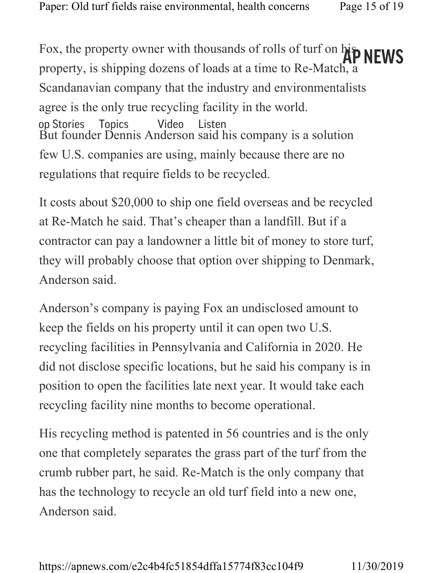Fox, the property owner with thousands of rolls of turf on  $h$ property, is shipping dozens of loads at a time to Re-Match, a Scandanavian company that the industry and environmentalists agree is the only true recycling facility in the world. But founder Dennis Anderson said his company is a solution few U.S. companies are using, mainly because there are no regulations that require fields to be recycled. **NFWS** op Stories Topics Video Listen

It costs about \$20,000 to ship one field overseas and be recycled at Re-Match he said. That's cheaper than a landfill. But if a contractor can pay a landowner a little bit of money to store turf, they will probably choose that option over shipping to Denmark, Anderson said.

Anderson's company is paying Fox an undisclosed amount to keep the fields on his property until it can open two U.S. recycling facilities in Pennsylvania and California in 2020. He did not disclose specific locations, but he said his company is in position to open the facilities late next year. It would take each recycling facility nine months to become operational.

His recycling method is patented in 56 countries and is the only one that completely separates the grass part of the turf from the crumb rubber part, he said. Re-Match is the only company that has the technology to recycle an old turf field into a new one, Anderson said.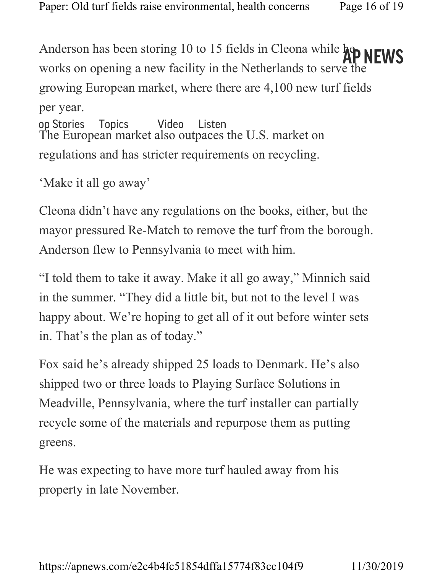Anderson has been storing 10 to 15 fields in Cleona while he NEWS works on opening a new facility in the Netherlands to serve the growing European market, where there are 4,100 new turf fields per year. The European market also outpaces the U.S. market on regulations and has stricter requirements on recycling. op Stories Topics Video Listen

```
'Make it all go away'
```
Cleona didn't have any regulations on the books, either, but the mayor pressured Re-Match to remove the turf from the borough. Anderson flew to Pennsylvania to meet with him.

"I told them to take it away. Make it all go away," Minnich said in the summer. "They did a little bit, but not to the level I was happy about. We're hoping to get all of it out before winter sets in. That's the plan as of today."

Fox said he's already shipped 25 loads to Denmark. He's also shipped two or three loads to Playing Surface Solutions in Meadville, Pennsylvania, where the turf installer can partially recycle some of the materials and repurpose them as putting greens.

He was expecting to have more turf hauled away from his property in late November.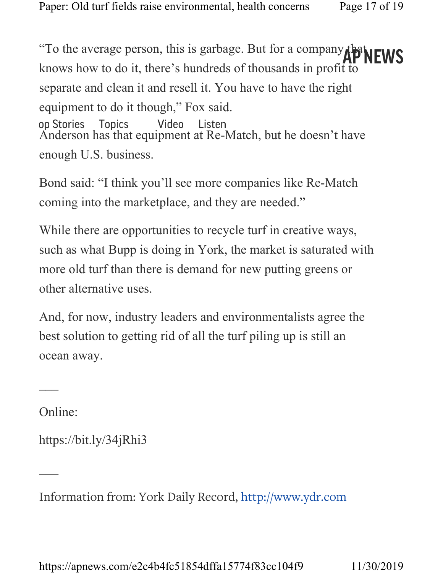"To the average person, this is garbage. But for a company that **NEWS** knows how to do it, there's hundreds of thousands in profit to separate and clean it and resell it. You have to have the right equipment to do it though," Fox said. Anderson has that equipment at Re-Match, but he doesn't have enough U.S. business. op Stories Topics Video Listen

Bond said: "I think you'll see more companies like Re-Match coming into the marketplace, and they are needed."

While there are opportunities to recycle turf in creative ways, such as what Bupp is doing in York, the market is saturated with more old turf than there is demand for new putting greens or other alternative uses.

And, for now, industry leaders and environmentalists agree the best solution to getting rid of all the turf piling up is still an ocean away.

Online:

 $\overline{\phantom{a}}$ 

 $\overline{\phantom{a}}$ 

https://bit.ly/34jRhi3

Information from: York Daily Record, http://www.ydr.com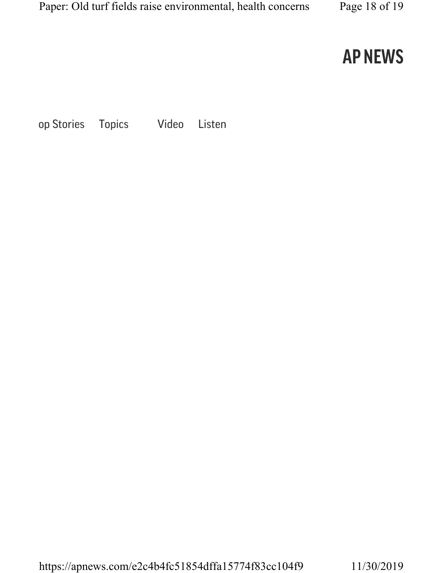op Stories Topics Video Listen